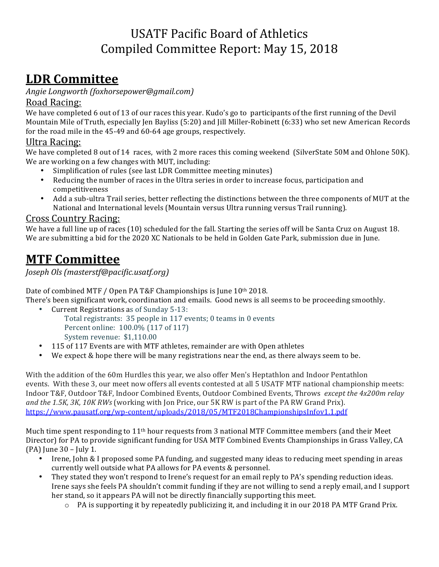## USATF Pacific Board of Athletics Compiled Committee Report: May 15, 2018

# **LDR Committee**

*Angie Longworth (foxhorsepower@gmail.com)*

### Road Racing:

We have completed 6 out of 13 of our races this year. Kudo's go to participants of the first running of the Devil Mountain Mile of Truth, especially Jen Bayliss (5:20) and Jill Miller-Robinett (6:33) who set new American Records for the road mile in the  $45-49$  and  $60-64$  age groups, respectively.

### Ultra Racing:

We have completed 8 out of 14 races, with 2 more races this coming weekend (SilverState 50M and Ohlone 50K). We are working on a few changes with MUT, including:

- Simplification of rules (see last LDR Committee meeting minutes)
- Reducing the number of races in the Ultra series in order to increase focus, participation and competitiveness
- Add a sub-ultra Trail series, better reflecting the distinctions between the three components of MUT at the National and International levels (Mountain versus Ultra running versus Trail running).

### Cross Country Racing:

We have a full line up of races (10) scheduled for the fall. Starting the series off will be Santa Cruz on August 18. We are submitting a bid for the 2020 XC Nationals to be held in Golden Gate Park, submission due in June.

## **MTF Committee**

*Joseph Ols (masterstf@pacific.usatf.org)* 

Date of combined MTF / Open PA T&F Championships is June 10th 2018.

There's been significant work, coordination and emails. Good news is all seems to be proceeding smoothly.

- Current Registrations as of Sunday 5-13: Total registrants: 35 people in 117 events; 0 teams in 0 events Percent online: 100.0% (117 of 117) System revenue: \$1,110.00
- 115 of 117 Events are with MTF athletes, remainder are with Open athletes
- We expect  $&$  hope there will be many registrations near the end, as there always seem to be.

With the addition of the 60m Hurdles this year, we also offer Men's Heptathlon and Indoor Pentathlon events. With these 3, our meet now offers all events contested at all 5 USATF MTF national championship meets: Indoor T&F, Outdoor T&F, Indoor Combined Events, Outdoor Combined Events, Throws except the 4x200m relay *and the 1.5K, 3K, 10K RWs* (working with Jon Price, our 5K RW is part of the PA RW Grand Prix). https://www.pausatf.org/wp-content/uploads/2018/05/MTF2018ChampionshipsInfov1.1.pdf

Much time spent responding to  $11<sup>th</sup>$  hour requests from 3 national MTF Committee members (and their Meet Director) for PA to provide significant funding for USA MTF Combined Events Championships in Grass Valley, CA (PA) June  $30 -$  July 1.

- Irene, John & I proposed some PA funding, and suggested many ideas to reducing meet spending in areas currently well outside what PA allows for PA events & personnel.
- They stated they won't respond to Irene's request for an email reply to PA's spending reduction ideas. Irene says she feels PA shouldn't commit funding if they are not willing to send a reply email, and I support her stand, so it appears PA will not be directly financially supporting this meet.
	- o PA is supporting it by repeatedly publicizing it, and including it in our 2018 PA MTF Grand Prix.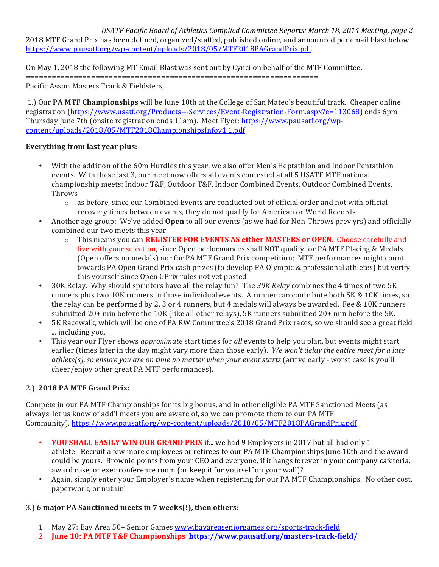USATF Pacific Board of Athletics Complied Committee Reports: March 18, 2014 Meeting, page 2 2018 MTF Grand Prix has been defined, organized/staffed, published online, and announced per email blast below https://www.pausatf.org/wp-content/uploads/2018/05/MTF2018PAGrandPrix.pdf.

On May 1, 2018 the following MT Email Blast was sent out by Cynci on behalf of the MTF Committee.

===================================================================

Pacific Assoc. Masters Track & Fieldsters,

1.) Our PA MTF Championships will be June 10th at the College of San Mateo's beautiful track. Cheaper online registration (https://www.usatf.org/Products---Services/Event-Registration-Form.aspx?e=113068) ends 6pm Thursday June 7th (onsite registration ends 11am). Meet Flyer: https://www.pausatf.org/wpcontent/uploads/2018/05/MTF2018ChampionshipsInfov1.1.pdf

#### **Everything from last year plus:**

- With the addition of the 60m Hurdles this year, we also offer Men's Heptathlon and Indoor Pentathlon events. With these last 3, our meet now offers all events contested at all 5 USATF MTF national championship meets: Indoor T&F, Outdoor T&F, Indoor Combined Events, Outdoor Combined Events, Throws
	- $\circ$  as before, since our Combined Events are conducted out of official order and not with official recovery times between events, they do not qualify for American or World Records
- Another age group: We've added **Open** to all our events (as we had for Non-Throws prev vrs) and officially combined our two meets this year
	- $\circ$  This means you can **REGISTER FOR EVENTS AS either MASTERS or OPEN**. Choose carefully and live with your selection, since Open performances shall NOT qualify for PA MTF Placing & Medals (Open offers no medals) nor for PA MTF Grand Prix competition; MTF performances might count towards PA Open Grand Prix cash prizes (to develop PA Olympic & professional athletes) but verify this yourself since Open GPrix rules not yet posted
- 30K Relay. Why should sprinters have all the relay fun? The 30K Relay combines the 4 times of two 5K runners plus two 10K runners in those individual events. A runner can contribute both 5K & 10K times, so the relay can be performed by 2, 3 or 4 runners, but 4 medals will always be awarded. Fee & 10K runners submitted  $20+$  min before the  $10K$  (like all other relays), 5K runners submitted  $20+$  min before the 5K.
- 5K Racewalk, which will be one of PA RW Committee's 2018 Grand Prix races, so we should see a great field ... including you.
- This year our Flyer shows *approximate* start times for *all* events to help you plan, but events might start earlier (times later in the day might vary more than those early). We won't delay the entire meet for a late *athlete(s), so ensure you are on time no matter when your event starts* (arrive early - worst case is you'll cheer/enjoy other great PA MTF performances).

#### 2.) **2018 PA MTF Grand Prix:**

Compete in our PA MTF Championships for its big bonus, and in other eligible PA MTF Sanctioned Meets (as always, let us know of add'l meets you are aware of, so we can promote them to our PA MTF Community). https://www.pausatf.org/wp-content/uploads/2018/05/MTF2018PAGrandPrix.pdf

- **YOU SHALL EASILY WIN OUR GRAND PRIX** if... we had 9 Employers in 2017 but all had only 1 athlete! Recruit a few more employees or retirees to our PA MTF Championships June 10th and the award could be yours. Brownie points from your CEO and everyone, if it hangs forever in your company cafeteria, award case, or exec conference room (or keep it for yourself on your wall)?
- Again, simply enter your Employer's name when registering for our PA MTF Championships. No other cost, paperwork, or nuthin'

#### 3.) 6 major PA Sanctioned meets in 7 weeks(!), then others:

- 1. May 27: Bay Area 50+ Senior Games www.bayareaseniorgames.org/sports-track-field
- 2. **June 10: PA MTF T&F Championships** https://www.pausatf.org/masters-track-field/